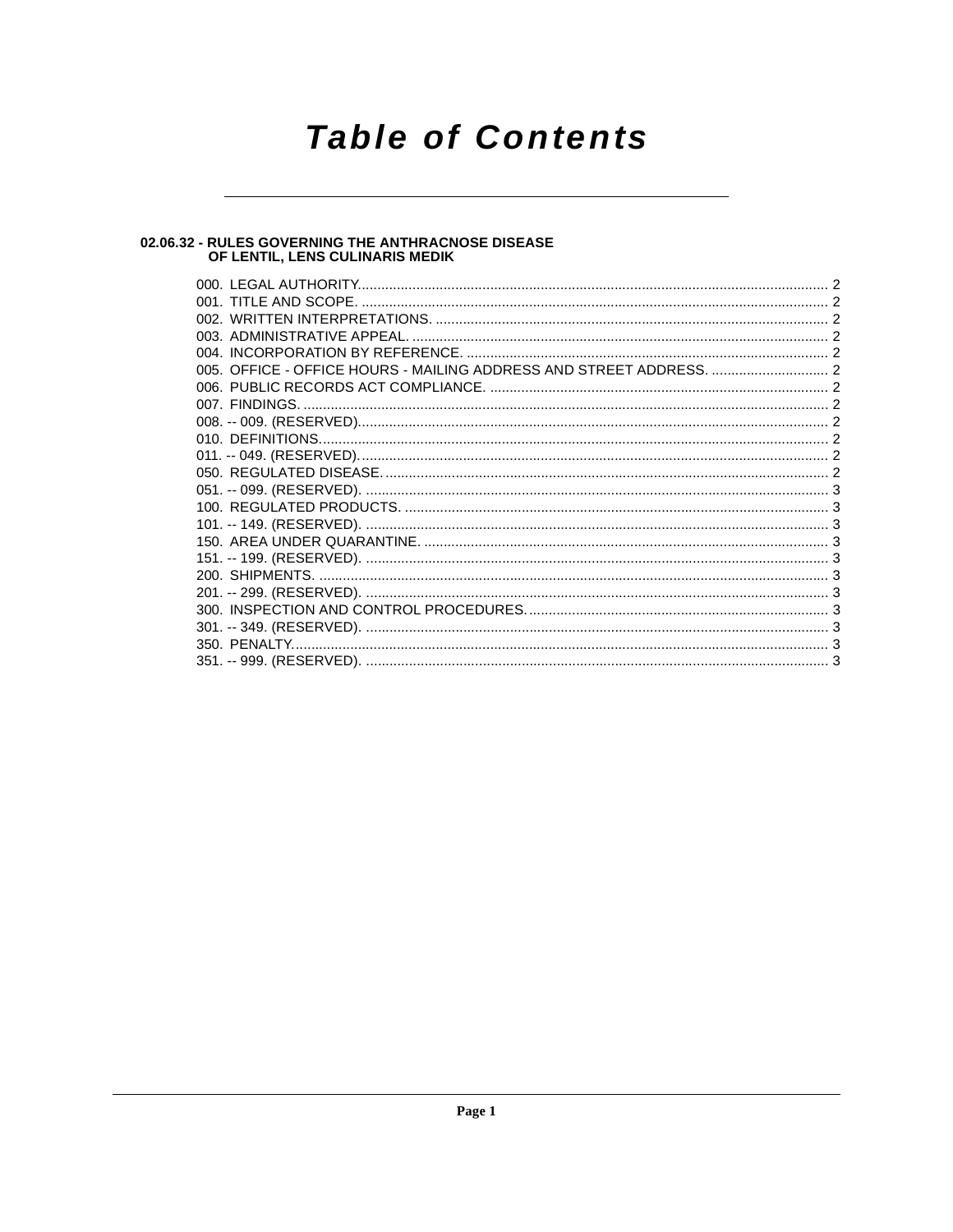## **Table of Contents**

### 02.06.32 - RULES GOVERNING THE ANTHRACNOSE DISEASE<br>OF LENTIL, LENS CULINARIS MEDIK

| 350. PENALTY |  |
|--------------|--|
|              |  |
|              |  |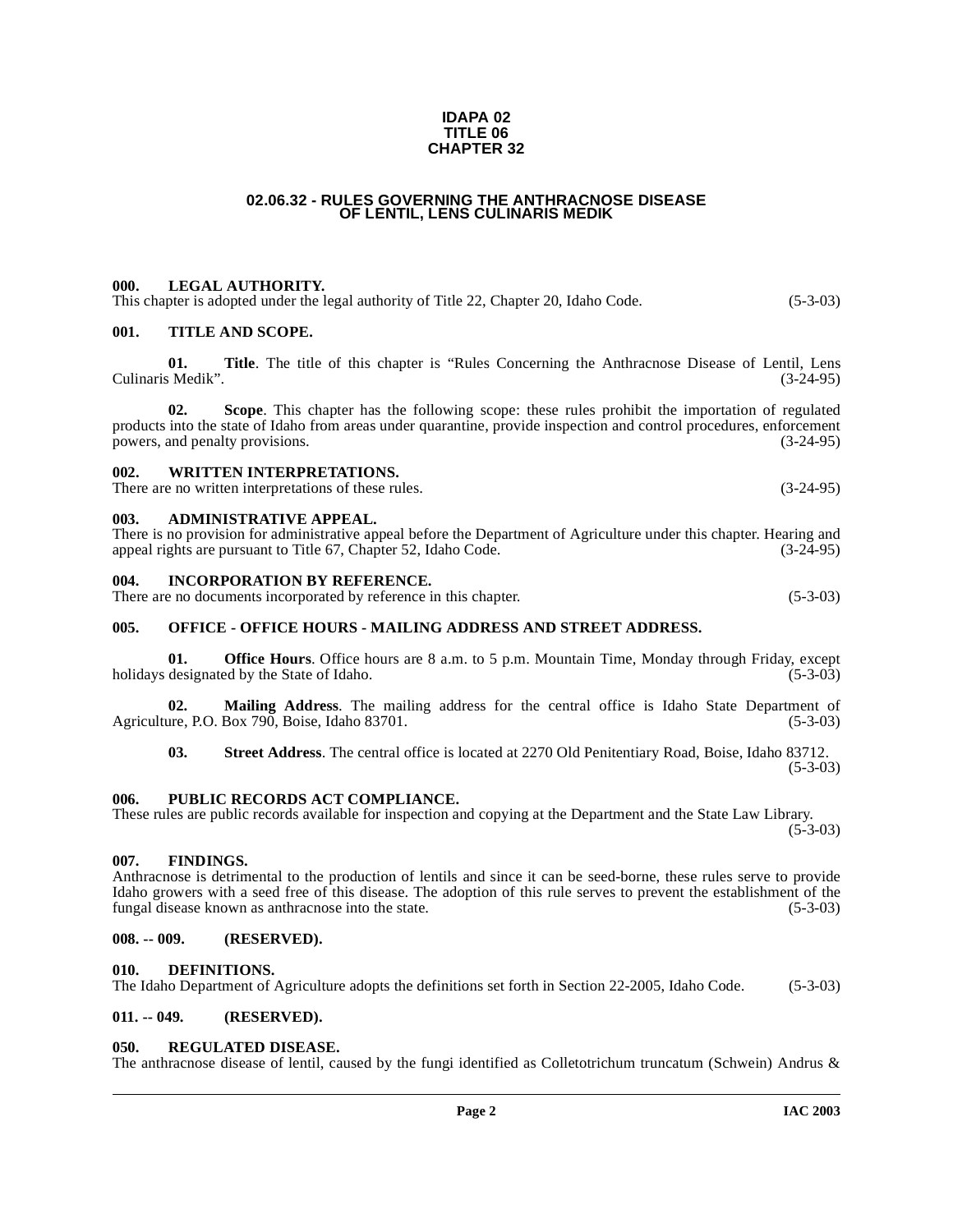#### **IDAPA 02 TITLE 06 CHAPTER 32**

#### **02.06.32 - RULES GOVERNING THE ANTHRACNOSE DISEASE OF LENTIL, LENS CULINARIS MEDIK**

#### <span id="page-1-1"></span><span id="page-1-0"></span>**000. LEGAL AUTHORITY.**

<span id="page-1-2"></span>

|      | This chapter is adopted under the legal authority of Title 22, Chapter 20, Idaho Code. | $(5-3-03)$ |
|------|----------------------------------------------------------------------------------------|------------|
| 001. | <b>TITLE AND SCOPE.</b>                                                                |            |
|      |                                                                                        |            |

**01.** Title. The title of this chapter is "Rules Concerning the Anthracnose Disease of Lentil, Lens (3-24-95) Culinaris Medik".

**02. Scope**. This chapter has the following scope: these rules prohibit the importation of regulated products into the state of Idaho from areas under quarantine, provide inspection and control procedures, enforcement<br>nowers, and penalty provisions. (3-24-95) powers, and penalty provisions.

#### <span id="page-1-3"></span>**002. WRITTEN INTERPRETATIONS.**

There are no written interpretations of these rules. (3-24-95)

#### <span id="page-1-4"></span>**003. ADMINISTRATIVE APPEAL.**

There is no provision for administrative appeal before the Department of Agriculture under this chapter. Hearing and appeal rights are pursuant to Title 67. Chapter 52. Idaho Code. (3-24-95) appeal rights are pursuant to Title 67, Chapter 52, Idaho Code.

#### <span id="page-1-5"></span>**004. INCORPORATION BY REFERENCE.**

There are no documents incorporated by reference in this chapter. (5-3-03)

#### <span id="page-1-6"></span>**005. OFFICE - OFFICE HOURS - MAILING ADDRESS AND STREET ADDRESS.**

**01. Office Hours**. Office hours are 8 a.m. to 5 p.m. Mountain Time, Monday through Friday, except designated by the State of Idaho. (5-3-03) holidays designated by the State of Idaho.

**02.** Mailing Address. The mailing address for the central office is Idaho State Department of are, P.O. Box 790, Boise, Idaho 83701. (5-3-03) Agriculture, P.O. Box  $790$ , Boise, Idaho  $83701$ .

**03. Street Address**. The central office is located at 2270 Old Penitentiary Road, Boise, Idaho 83712.  $(5-3-03)$ 

#### <span id="page-1-7"></span>**006. PUBLIC RECORDS ACT COMPLIANCE.**

These rules are public records available for inspection and copying at the Department and the State Law Library.  $(5-3-03)$ 

#### <span id="page-1-8"></span>**007. FINDINGS.**

Anthracnose is detrimental to the production of lentils and since it can be seed-borne, these rules serve to provide Idaho growers with a seed free of this disease. The adoption of this rule serves to prevent the establishment of the fungal disease known as anthracnose into the state. (5-3-03) fungal disease known as anthracnose into the state.

#### <span id="page-1-9"></span>**008. -- 009. (RESERVED).**

#### <span id="page-1-13"></span><span id="page-1-10"></span>**010. DEFINITIONS.**

The Idaho Department of Agriculture adopts the definitions set forth in Section 22-2005, Idaho Code. (5-3-03)

#### <span id="page-1-11"></span>**011. -- 049. (RESERVED).**

#### <span id="page-1-14"></span><span id="page-1-12"></span>**050. REGULATED DISEASE.**

The anthracnose disease of lentil, caused by the fungi identified as Colletotrichum truncatum (Schwein) Andrus &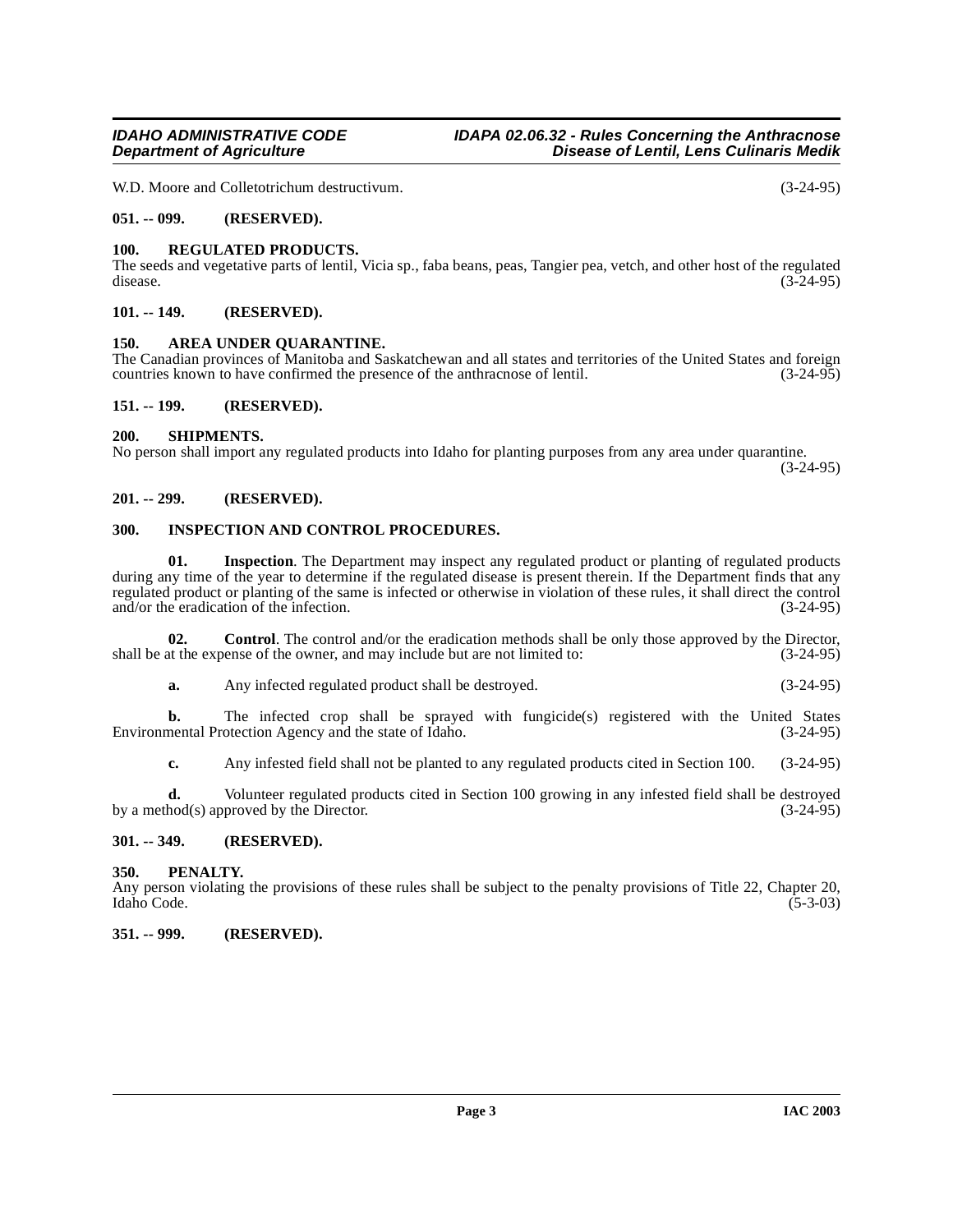W.D. Moore and Colletotrichum destructivum. (3-24-95)

#### <span id="page-2-0"></span>**051. -- 099. (RESERVED).**

#### <span id="page-2-15"></span><span id="page-2-1"></span>**100. REGULATED PRODUCTS.**

The seeds and vegetative parts of lentil, Vicia sp., faba beans, peas, Tangier pea, vetch, and other host of the regulated disease. (3-24-95) disease.  $(3-24-95)$ 

#### <span id="page-2-2"></span>**101. -- 149. (RESERVED).**

#### <span id="page-2-11"></span><span id="page-2-3"></span>**150. AREA UNDER QUARANTINE.**

The Canadian provinces of Manitoba and Saskatchewan and all states and territories of the United States and foreign countries known to have confirmed the presence of the anthracnose of lentil. (3-24-95) countries known to have confirmed the presence of the anthracnose of lentil.

#### <span id="page-2-4"></span>**151. -- 199. (RESERVED).**

#### <span id="page-2-16"></span><span id="page-2-5"></span>**200. SHIPMENTS.**

No person shall import any regulated products into Idaho for planting purposes from any area under quarantine.

(3-24-95)

#### <span id="page-2-6"></span>**201. -- 299. (RESERVED).**

#### <span id="page-2-13"></span><span id="page-2-7"></span>**300. INSPECTION AND CONTROL PROCEDURES.**

<span id="page-2-14"></span>**01.** Inspection. The Department may inspect any regulated product or planting of regulated products during any time of the year to determine if the regulated disease is present therein. If the Department finds that any regulated product or planting of the same is infected or otherwise in violation of these rules, it shall direct the control and/or the eradication of the infection. (3-24-95) and/or the eradication of the infection.

**02. Control**. The control and/or the eradication methods shall be only those approved by the Director, at the expense of the owner, and may include but are not limited to:  $(3-24-95)$ shall be at the expense of the owner, and may include but are not limited to:

<span id="page-2-12"></span>**a.** Any infected regulated product shall be destroyed. (3-24-95)

**b.** The infected crop shall be sprayed with fungicide(s) registered with the United States mental Protection Agency and the state of Idaho. (3-24-95) Environmental Protection Agency and the state of Idaho.

**c.** Any infested field shall not be planted to any regulated products cited in Section 100. (3-24-95)

**d.** Volunteer regulated products cited in Section 100 growing in any infested field shall be destroyed hod(s) approved by the Director. by a method(s) approved by the Director.

#### <span id="page-2-8"></span>**301. -- 349. (RESERVED).**

#### <span id="page-2-9"></span>**350. PENALTY.**

Any person violating the provisions of these rules shall be subject to the penalty provisions of Title 22, Chapter 20, Idaho Code. (5-3-03) Idaho Code. (5-3-03)

#### <span id="page-2-10"></span>**351. -- 999. (RESERVED).**